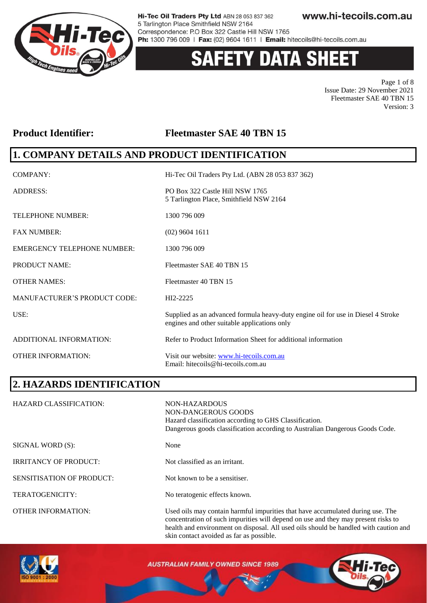

# **Y DATA SHEET**

Page 1 of 8 Issue Date: 29 November 2021 Fleetmaster SAE 40 TBN 15 Version: 3

### **Product Identifier: Fleetmaster SAE 40 TBN 15**

### **1. COMPANY DETAILS AND PRODUCT IDENTIFICATION**

| COMPANY:                            | Hi-Tec Oil Traders Pty Ltd. (ABN 28 053 837 362)                                                                                 |
|-------------------------------------|----------------------------------------------------------------------------------------------------------------------------------|
| <b>ADDRESS:</b>                     | PO Box 322 Castle Hill NSW 1765<br>5 Tarlington Place, Smithfield NSW 2164                                                       |
| <b>TELEPHONE NUMBER:</b>            | 1300 796 009                                                                                                                     |
| <b>FAX NUMBER:</b>                  | $(02)$ 9604 1611                                                                                                                 |
| <b>EMERGENCY TELEPHONE NUMBER:</b>  | 1300 796 009                                                                                                                     |
| <b>PRODUCT NAME:</b>                | Fleetmaster SAE 40 TBN 15                                                                                                        |
| <b>OTHER NAMES:</b>                 | Fleetmaster 40 TBN 15                                                                                                            |
| <b>MANUFACTURER'S PRODUCT CODE:</b> | HI2-2225                                                                                                                         |
| USE:                                | Supplied as an advanced formula heavy-duty engine oil for use in Diesel 4 Stroke<br>engines and other suitable applications only |
| ADDITIONAL INFORMATION:             | Refer to Product Information Sheet for additional information                                                                    |
| <b>OTHER INFORMATION:</b>           | Visit our website: www.hi-tecoils.com.au<br>Email: hitecoils@hi-tecoils.com.au                                                   |

### **2. HAZARDS IDENTIFICATION**

| <b>HAZARD CLASSIFICATION:</b> | NON-HAZARDOUS<br>NON-DANGEROUS GOODS<br>Hazard classification according to GHS Classification.<br>Dangerous goods classification according to Australian Dangerous Goods Code.                                                                              |
|-------------------------------|-------------------------------------------------------------------------------------------------------------------------------------------------------------------------------------------------------------------------------------------------------------|
| SIGNAL WORD (S):              | None                                                                                                                                                                                                                                                        |
| <b>IRRITANCY OF PRODUCT:</b>  | Not classified as an irritant.                                                                                                                                                                                                                              |
| SENSITISATION OF PRODUCT:     | Not known to be a sensitiser.                                                                                                                                                                                                                               |
| TERATOGENICITY:               | No teratogenic effects known.                                                                                                                                                                                                                               |
| <b>OTHER INFORMATION:</b>     | Used oils may contain harmful impurities that have accumulated during use. The<br>concentration of such impurities will depend on use and they may present risks to<br>health and environment on disposal. All used oils should be handled with caution and |



**AUSTRALIAN FAMILY OWNED SINCE 1989** 

skin contact avoided as far as possible.

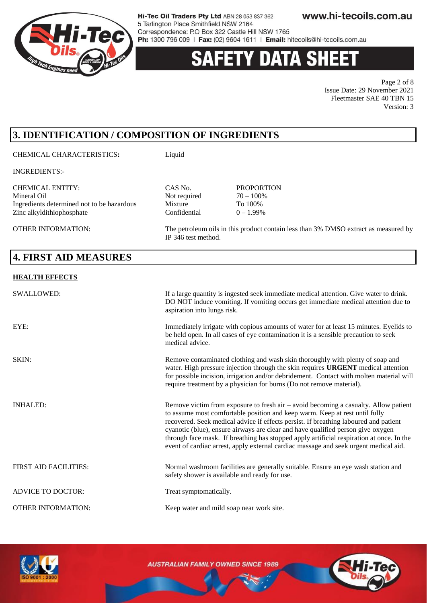

# **Y DATA SHEE**

Page 2 of 8 Issue Date: 29 November 2021 Fleetmaster SAE 40 TBN 15 Version: 3

# **3. IDENTIFICATION / COMPOSITION OF INGREDIENTS**

#### CHEMICAL CHARACTERISTICS**:** Liquid

INGREDIENTS:-

CHEMICAL ENTITY: CAS No. PROPORTION Ingredients determined not to be hazardous Mixture Zinc alkyldithiophosphate Confidential  $0 - 1.99\%$ 

OTHER INFORMATION: The petroleum oils in this product contain less than 3% DMSO extract as measured by

### **4. FIRST AID MEASURES**

#### **HEALTH EFFECTS**

| <b>SWALLOWED:</b>            | If a large quantity is ingested seek immediate medical attention. Give water to drink.<br>DO NOT induce vomiting. If vomiting occurs get immediate medical attention due to<br>aspiration into lungs risk.                                                                                                                                                                                                                                                                                                                          |
|------------------------------|-------------------------------------------------------------------------------------------------------------------------------------------------------------------------------------------------------------------------------------------------------------------------------------------------------------------------------------------------------------------------------------------------------------------------------------------------------------------------------------------------------------------------------------|
| EYE:                         | Immediately irrigate with copious amounts of water for at least 15 minutes. Eyelids to<br>be held open. In all cases of eye contamination it is a sensible precaution to seek<br>medical advice.                                                                                                                                                                                                                                                                                                                                    |
| SKIN:                        | Remove contaminated clothing and wash skin thoroughly with plenty of soap and<br>water. High pressure injection through the skin requires URGENT medical attention<br>for possible incision, irrigation and/or debridement. Contact with molten material will<br>require treatment by a physician for burns (Do not remove material).                                                                                                                                                                                               |
| <b>INHALED:</b>              | Remove victim from exposure to fresh air $-$ avoid becoming a casualty. Allow patient<br>to assume most comfortable position and keep warm. Keep at rest until fully<br>recovered. Seek medical advice if effects persist. If breathing laboured and patient<br>cyanotic (blue), ensure airways are clear and have qualified person give oxygen<br>through face mask. If breathing has stopped apply artificial respiration at once. In the<br>event of cardiac arrest, apply external cardiac massage and seek urgent medical aid. |
| <b>FIRST AID FACILITIES:</b> | Normal washroom facilities are generally suitable. Ensure an eye wash station and<br>safety shower is available and ready for use.                                                                                                                                                                                                                                                                                                                                                                                                  |
| <b>ADVICE TO DOCTOR:</b>     | Treat symptomatically.                                                                                                                                                                                                                                                                                                                                                                                                                                                                                                              |
| <b>OTHER INFORMATION:</b>    | Keep water and mild soap near work site.                                                                                                                                                                                                                                                                                                                                                                                                                                                                                            |

Not required  $70 - 100$ %<br>Mixture To  $100%$ 

IP 346 test method.



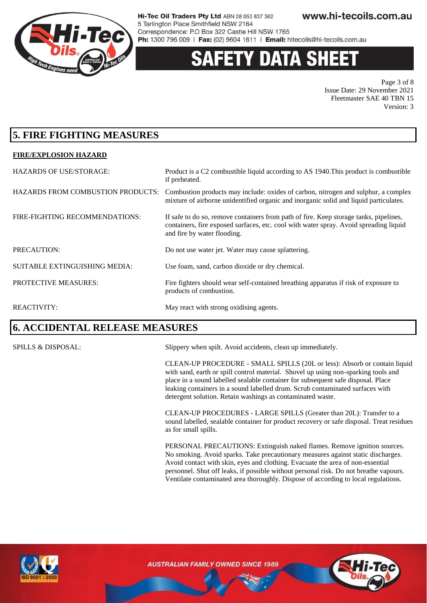

# 'Y DATA SHE

Page 3 of 8 Issue Date: 29 November 2021 Fleetmaster SAE 40 TBN 15 Version: 3

### **5. FIRE FIGHTING MEASURES**

#### **FIRE/EXPLOSION HAZARD**

| <b>HAZARDS OF USE/STORAGE:</b>           | Product is a C2 combustible liquid according to AS 1940. This product is combustible<br>if preheated.                                                                                                         |
|------------------------------------------|---------------------------------------------------------------------------------------------------------------------------------------------------------------------------------------------------------------|
| <b>HAZARDS FROM COMBUSTION PRODUCTS:</b> | Combustion products may include: oxides of carbon, nitrogen and sulphur, a complex<br>mixture of airborne unidentified organic and inorganic solid and liquid particulates.                                   |
| FIRE-FIGHTING RECOMMENDATIONS:           | If safe to do so, remove containers from path of fire. Keep storage tanks, pipelines,<br>containers, fire exposed surfaces, etc. cool with water spray. Avoid spreading liquid<br>and fire by water flooding. |
| PRECAUTION:                              | Do not use water jet. Water may cause splattering.                                                                                                                                                            |
| SUITABLE EXTINGUISHING MEDIA:            | Use foam, sand, carbon dioxide or dry chemical.                                                                                                                                                               |
| PROTECTIVE MEASURES:                     | Fire fighters should wear self-contained breathing apparatus if risk of exposure to<br>products of combustion.                                                                                                |
| <b>REACTIVITY:</b>                       | May react with strong oxidising agents.                                                                                                                                                                       |

#### **6. ACCIDENTAL RELEASE MEASURES**

SPILLS & DISPOSAL: Slippery when spilt. Avoid accidents, clean up immediately.

CLEAN-UP PROCEDURE - SMALL SPILLS (20L or less): Absorb or contain liquid with sand, earth or spill control material. Shovel up using non-sparking tools and place in a sound labelled sealable container for subsequent safe disposal. Place leaking containers in a sound labelled drum. Scrub contaminated surfaces with detergent solution. Retain washings as contaminated waste.

CLEAN-UP PROCEDURES - LARGE SPILLS (Greater than 20L): Transfer to a sound labelled, sealable container for product recovery or safe disposal. Treat residues as for small spills.

PERSONAL PRECAUTIONS: Extinguish naked flames. Remove ignition sources. No smoking. Avoid sparks. Take precautionary measures against static discharges. Avoid contact with skin, eyes and clothing. Evacuate the area of non-essential personnel. Shut off leaks, if possible without personal risk. Do not breathe vapours. Ventilate contaminated area thoroughly. Dispose of according to local regulations.



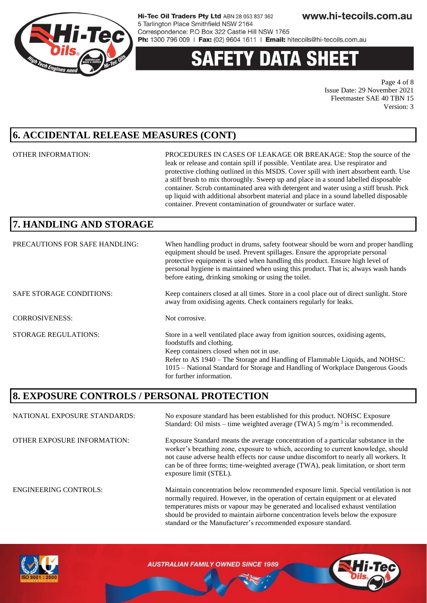

# **ETY DATA SHEE**

Page 4 of 8 Issue Date: 29 November 2021 Fleetmaster SAE 40 TBN 15 Version: 3

### **6. ACCIDENTAL RELEASE MEASURES (CONT)**

OTHER INFORMATION: PROCEDURES IN CASES OF LEAKAGE OR BREAKAGE: Stop the source of the leak or release and contain spill if possible. Ventilate area. Use respirator and protective clothing outlined in this MSDS. Cover spill with inert absorbent earth. Use a stiff brush to mix thoroughly. Sweep up and place in a sound labelled disposable container. Scrub contaminated area with detergent and water using a stiff brush. Pick up liquid with additional absorbent material and place in a sound labelled disposable container. Prevent contamination of groundwater or surface water.

should be provided to maintain airborne concentration levels below the exposure

standard or the Manufacturer's recommended exposure standard.

# **7. HANDLING AND STORAGE**

| PRECAUTIONS FOR SAFE HANDLING:  | When handling product in drums, safety footwear should be worn and proper handling<br>equipment should be used. Prevent spillages. Ensure the appropriate personal<br>protective equipment is used when handling this product. Ensure high level of<br>personal hygiene is maintained when using this product. That is; always wash hands<br>before eating, drinking smoking or using the toilet. |
|---------------------------------|---------------------------------------------------------------------------------------------------------------------------------------------------------------------------------------------------------------------------------------------------------------------------------------------------------------------------------------------------------------------------------------------------|
| <b>SAFE STORAGE CONDITIONS:</b> | Keep containers closed at all times. Store in a cool place out of direct sunlight. Store<br>away from oxidising agents. Check containers regularly for leaks.                                                                                                                                                                                                                                     |
| <b>CORROSIVENESS:</b>           | Not corrosive.                                                                                                                                                                                                                                                                                                                                                                                    |
| <b>STORAGE REGULATIONS:</b>     | Store in a well ventilated place away from ignition sources, oxidising agents,<br>foodstuffs and clothing.<br>Keep containers closed when not in use.<br>Refer to AS 1940 – The Storage and Handling of Flammable Liquids, and NOHSC:<br>1015 – National Standard for Storage and Handling of Workplace Dangerous Goods<br>for further information.                                               |

### **8. EXPOSURE CONTROLS / PERSONAL PROTECTION**

NATIONAL EXPOSURE STANDARDS: No exposure standard has been established for this product. NOHSC Exposure Standard: Oil mists – time weighted average (TWA)  $5 \text{ mg/m}^3$  is recommended. OTHER EXPOSURE INFORMATION: Exposure Standard means the average concentration of a particular substance in the worker's breathing zone, exposure to which, according to current knowledge, should not cause adverse health effects nor cause undue discomfort to nearly all workers. It can be of three forms; time-weighted average (TWA), peak limitation, or short term exposure limit (STEL). ENGINEERING CONTROLS: Maintain concentration below recommended exposure limit. Special ventilation is not normally required. However, in the operation of certain equipment or at elevated temperatures mists or vapour may be generated and localised exhaust ventilation

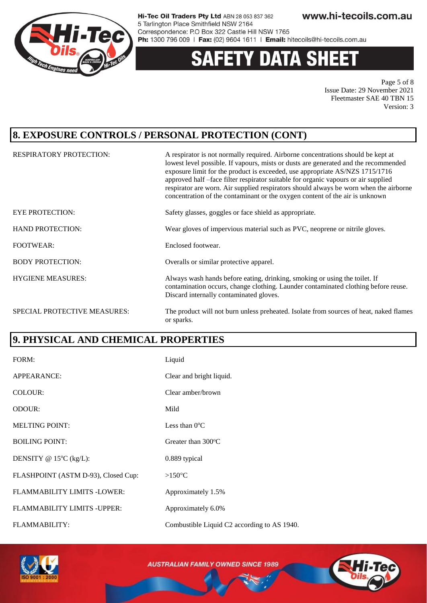

#### **DATA SHEET** Y

Page 5 of 8 Issue Date: 29 November 2021 Fleetmaster SAE 40 TBN 15 Version: 3

### **8. EXPOSURE CONTROLS / PERSONAL PROTECTION (CONT)**

| <b>RESPIRATORY PROTECTION:</b> | A respirator is not normally required. Airborne concentrations should be kept at<br>lowest level possible. If vapours, mists or dusts are generated and the recommended<br>exposure limit for the product is exceeded, use appropriate AS/NZS 1715/1716<br>approved half -face filter respirator suitable for organic vapours or air supplied<br>respirator are worn. Air supplied respirators should always be worn when the airborne<br>concentration of the contaminant or the oxygen content of the air is unknown |
|--------------------------------|------------------------------------------------------------------------------------------------------------------------------------------------------------------------------------------------------------------------------------------------------------------------------------------------------------------------------------------------------------------------------------------------------------------------------------------------------------------------------------------------------------------------|
| <b>EYE PROTECTION:</b>         | Safety glasses, goggles or face shield as appropriate.                                                                                                                                                                                                                                                                                                                                                                                                                                                                 |
| <b>HAND PROTECTION:</b>        | Wear gloves of impervious material such as PVC, neoprene or nitrile gloves.                                                                                                                                                                                                                                                                                                                                                                                                                                            |
| <b>FOOTWEAR:</b>               | Enclosed footwear.                                                                                                                                                                                                                                                                                                                                                                                                                                                                                                     |
| <b>BODY PROTECTION:</b>        | Overalls or similar protective apparel.                                                                                                                                                                                                                                                                                                                                                                                                                                                                                |
| <b>HYGIENE MEASURES:</b>       | Always wash hands before eating, drinking, smoking or using the toilet. If<br>contamination occurs, change clothing. Launder contaminated clothing before reuse.<br>Discard internally contaminated gloves.                                                                                                                                                                                                                                                                                                            |
| SPECIAL PROTECTIVE MEASURES:   | The product will not burn unless preheated. Isolate from sources of heat, naked flames<br>or sparks.                                                                                                                                                                                                                                                                                                                                                                                                                   |

### **9. PHYSICAL AND CHEMICAL PROPERTIES**

| FORM:                               | Liquid                                      |
|-------------------------------------|---------------------------------------------|
| APPEARANCE:                         | Clear and bright liquid.                    |
| COLOUR:                             | Clear amber/brown                           |
| <b>ODOUR:</b>                       | Mild                                        |
| <b>MELTING POINT:</b>               | Less than $0^{\circ}$ C                     |
| <b>BOILING POINT:</b>               | Greater than $300^{\circ}$ C                |
| DENSITY @ $15^{\circ}$ C (kg/L):    | 0.889 typical                               |
| FLASHPOINT (ASTM D-93), Closed Cup: | $>150^{\circ}$ C                            |
| FLAMMABILITY LIMITS -LOWER:         | Approximately 1.5%                          |
| FLAMMABILITY LIMITS - UPPER:        | Approximately 6.0%                          |
| <b>FLAMMABILITY:</b>                | Combustible Liquid C2 according to AS 1940. |

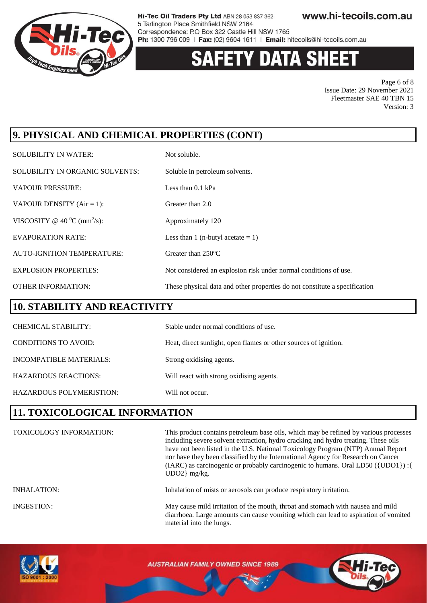

# **Y DATA SHEET**

Page 6 of 8 Issue Date: 29 November 2021 Fleetmaster SAE 40 TBN 15 Version: 3

# **9. PHYSICAL AND CHEMICAL PROPERTIES (CONT)**

| <b>SOLUBILITY IN WATER:</b>                 | Not soluble.                                                               |
|---------------------------------------------|----------------------------------------------------------------------------|
| SOLUBILITY IN ORGANIC SOLVENTS:             | Soluble in petroleum solvents.                                             |
| <b>VAPOUR PRESSURE:</b>                     | Less than $0.1$ kPa                                                        |
| VAPOUR DENSITY $(Air = 1)$ :                | Greater than 2.0                                                           |
| VISCOSITY @ 40 $^0$ C (mm <sup>2</sup> /s): | Approximately 120                                                          |
| <b>EVAPORATION RATE:</b>                    | Less than 1 (n-butyl acetate $= 1$ )                                       |
| <b>AUTO-IGNITION TEMPERATURE:</b>           | Greater than $250^{\circ}$ C                                               |
| <b>EXPLOSION PROPERTIES:</b>                | Not considered an explosion risk under normal conditions of use.           |
| <b>OTHER INFORMATION:</b>                   | These physical data and other properties do not constitute a specification |

#### **10. STABILITY AND REACTIVITY**

| <b>CHEMICAL STABILITY:</b>     | Stable under normal conditions of use.                           |
|--------------------------------|------------------------------------------------------------------|
| CONDITIONS TO AVOID:           | Heat, direct sunlight, open flames or other sources of ignition. |
| <b>INCOMPATIBLE MATERIALS:</b> | Strong oxidising agents.                                         |
| <b>HAZARDOUS REACTIONS:</b>    | Will react with strong oxidising agents.                         |
| HAZARDOUS POLYMERISTION:       | Will not occur.                                                  |

## **11. TOXICOLOGICAL INFORMATION**

| <b>TOXICOLOGY INFORMATION:</b> | This product contains petroleum base oils, which may be refined by various processes<br>including severe solvent extraction, hydro cracking and hydro treating. These oils<br>have not been listed in the U.S. National Toxicology Program (NTP) Annual Report<br>nor have they been classified by the International Agency for Research on Cancer<br>(IARC) as carcinogenic or probably carcinogenic to humans. Oral LD50 ({UDO1}) : {<br>$UDO2$ } mg/kg. |
|--------------------------------|------------------------------------------------------------------------------------------------------------------------------------------------------------------------------------------------------------------------------------------------------------------------------------------------------------------------------------------------------------------------------------------------------------------------------------------------------------|
| <b>INHALATION:</b>             | Inhalation of mists or aerosols can produce respiratory irritation.                                                                                                                                                                                                                                                                                                                                                                                        |
| <b>INGESTION:</b>              | May cause mild irritation of the mouth, throat and stomach with nausea and mild<br>diarrhoea. Large amounts can cause vomiting which can lead to aspiration of vomited<br>material into the lungs.                                                                                                                                                                                                                                                         |

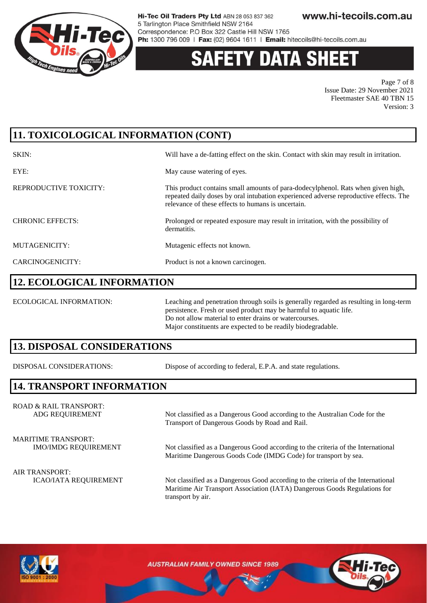

# **Y DATA SH**

Page 7 of 8 Issue Date: 29 November 2021 Fleetmaster SAE 40 TBN 15 Version: 3

# **11. TOXICOLOGICAL INFORMATION (CONT)**

| SKIN:                   | Will have a de-fatting effect on the skin. Contact with skin may result in irritation.                                                                                                                                          |
|-------------------------|---------------------------------------------------------------------------------------------------------------------------------------------------------------------------------------------------------------------------------|
| EYE:                    | May cause watering of eyes.                                                                                                                                                                                                     |
| REPRODUCTIVE TOXICITY:  | This product contains small amounts of para-dodecylphenol. Rats when given high,<br>repeated daily doses by oral intubation experienced adverse reproductive effects. The<br>relevance of these effects to humans is uncertain. |
| <b>CHRONIC EFFECTS:</b> | Prolonged or repeated exposure may result in irritation, with the possibility of<br>dermatitis.                                                                                                                                 |
| MUTAGENICITY:           | Mutagenic effects not known.                                                                                                                                                                                                    |
| CARCINOGENICITY:        | Product is not a known carcinogen.                                                                                                                                                                                              |

#### **12. ECOLOGICAL INFORMATION**

ECOLOGICAL INFORMATION: Leaching and penetration through soils is generally regarded as resulting in long-term persistence. Fresh or used product may be harmful to aquatic life. Do not allow material to enter drains or watercourses. Major constituents are expected to be readily biodegradable.

### **13. DISPOSAL CONSIDERATIONS**

DISPOSAL CONSIDERATIONS: Dispose of according to federal, E.P.A. and state regulations.

Transport of Dangerous Goods by Road and Rail.

### **14. TRANSPORT INFORMATION**

ROAD & RAIL TRANSPORT: ADG REQUIREMENT Not classified as a Dangerous Good according to the Australian Code for the

MARITIME TRANSPORT:

IMO/IMDG REQUIREMENT Not classified as a Dangerous Good according to the criteria of the International

Maritime Dangerous Goods Code (IMDG Code) for transport by sea.

AIR TRANSPORT:

ICAO/IATA REQUIREMENT Not classified as a Dangerous Good according to the criteria of the International Maritime Air Transport Association (IATA) Dangerous Goods Regulations for transport by air.